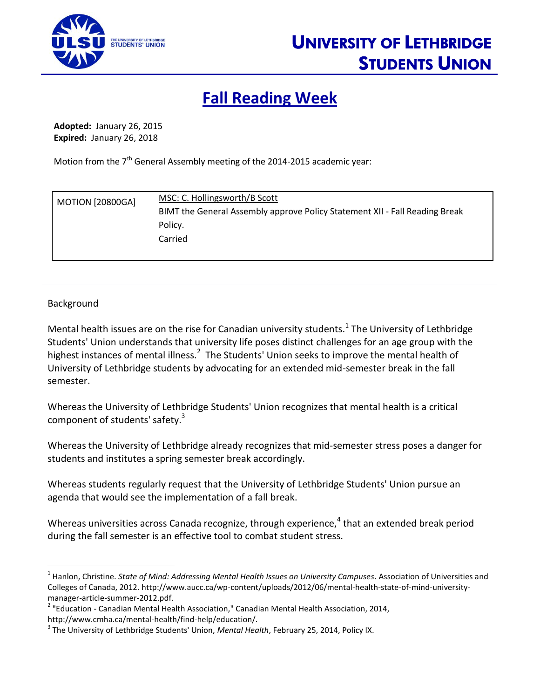

## **Fall Reading Week**

**Adopted:** January 26, 2015 **Expired:** January 26, 2018

Motion from the 7<sup>th</sup> General Assembly meeting of the 2014-2015 academic year:

| <b>MOTION [20800GA]</b> | MSC: C. Hollingsworth/B Scott                                               |
|-------------------------|-----------------------------------------------------------------------------|
|                         | BIMT the General Assembly approve Policy Statement XII - Fall Reading Break |
|                         | Policy.                                                                     |
|                         | Carried                                                                     |
|                         |                                                                             |

## Background

 $\overline{a}$ 

Mental health issues are on the rise for Canadian university students.<sup>1</sup> The University of Lethbridge Students' Union understands that university life poses distinct challenges for an age group with the highest instances of mental illness.<sup>2</sup> The Students' Union seeks to improve the mental health of University of Lethbridge students by advocating for an extended mid-semester break in the fall semester.

Whereas the University of Lethbridge Students' Union recognizes that mental health is a critical component of students' safety.<sup>3</sup>

Whereas the University of Lethbridge already recognizes that mid-semester stress poses a danger for students and institutes a spring semester break accordingly.

Whereas students regularly request that the University of Lethbridge Students' Union pursue an agenda that would see the implementation of a fall break.

Whereas universities across Canada recognize, through experience, $^4$  that an extended break period during the fall semester is an effective tool to combat student stress.

<sup>&</sup>lt;sup>1</sup> Hanlon, Christine. *State of Mind: Addressing Mental Health Issues on University Campuses*. Association of Universities and Colleges of Canada, 2012. http://www.aucc.ca/wp-content/uploads/2012/06/mental-health-state-of-mind-universitymanager-article-summer-2012.pdf.

<sup>&</sup>lt;sup>2</sup> "Education - Canadian Mental Health Association," Canadian Mental Health Association, 2014, http://www.cmha.ca/mental-health/find-help/education/.

<sup>3</sup> The University of Lethbridge Students' Union, *Mental Health*, February 25, 2014, Policy IX.